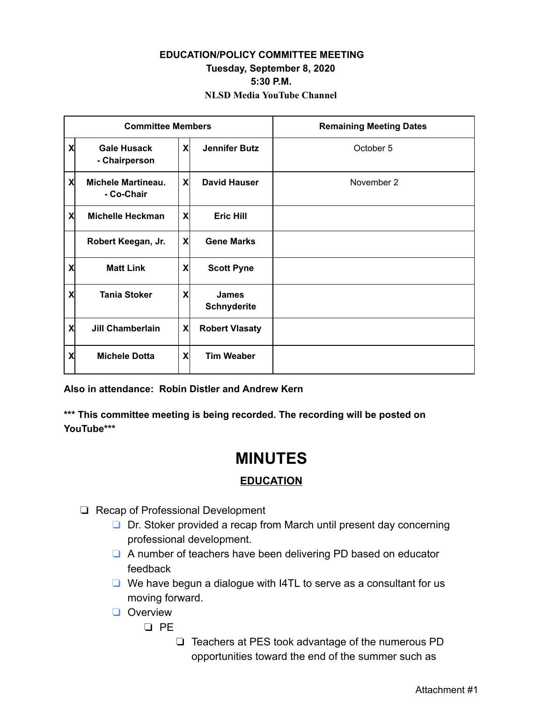## **EDUCATION/POLICY COMMITTEE MEETING Tuesday, September 8, 2020 5:30 P.M. NLSD Media YouTube Channel**

| <b>Committee Members</b> |                                         |   |                                    | <b>Remaining Meeting Dates</b> |
|--------------------------|-----------------------------------------|---|------------------------------------|--------------------------------|
| X                        | <b>Gale Husack</b><br>- Chairperson     | X | <b>Jennifer Butz</b>               | October 5                      |
| X                        | <b>Michele Martineau.</b><br>- Co-Chair | X | <b>David Hauser</b>                | November 2                     |
| X                        | <b>Michelle Heckman</b>                 | X | <b>Eric Hill</b>                   |                                |
|                          | Robert Keegan, Jr.                      | X | <b>Gene Marks</b>                  |                                |
| X                        | <b>Matt Link</b>                        | X | <b>Scott Pyne</b>                  |                                |
| X                        | <b>Tania Stoker</b>                     | X | <b>James</b><br><b>Schnyderite</b> |                                |
| X                        | <b>Jill Chamberlain</b>                 | X | <b>Robert Vlasaty</b>              |                                |
| X                        | <b>Michele Dotta</b>                    | X | <b>Tim Weaber</b>                  |                                |

**Also in attendance: Robin Distler and Andrew Kern**

**\*\*\* This committee meeting is being recorded. The recording will be posted on YouTube\*\*\***

## **MINUTES**

## **EDUCATION**

- ❏ Recap of Professional Development
	- ❏ Dr. Stoker provided a recap from March until present day concerning professional development.
	- ❏ A number of teachers have been delivering PD based on educator feedback
	- ❏ We have begun a dialogue with I4TL to serve as a consultant for us moving forward.
	- ❏ Overview
		- ❏ PE
			- ❏ Teachers at PES took advantage of the numerous PD opportunities toward the end of the summer such as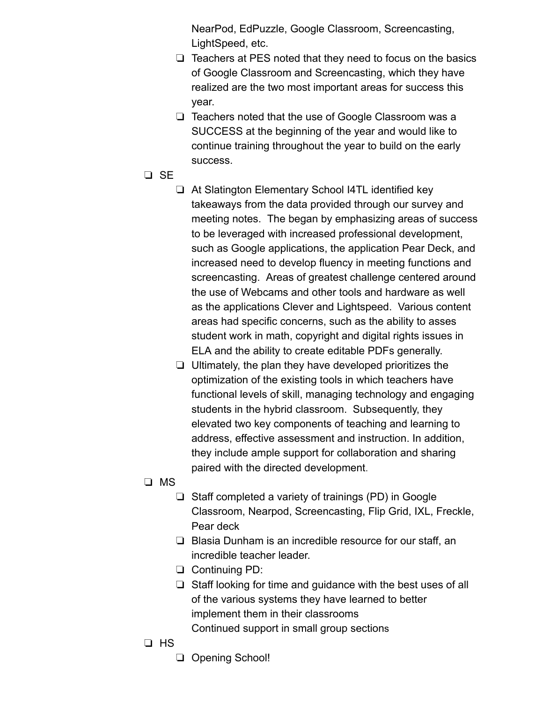NearPod, EdPuzzle, Google Classroom, Screencasting, LightSpeed, etc.

- ❏ Teachers at PES noted that they need to focus on the basics of Google Classroom and Screencasting, which they have realized are the two most important areas for success this year.
- ❏ Teachers noted that the use of Google Classroom was a SUCCESS at the beginning of the year and would like to continue training throughout the year to build on the early success.
- ❏ SE
	- ❏ At Slatington Elementary School I4TL identified key takeaways from the data provided through our survey and meeting notes. The began by emphasizing areas of success to be leveraged with increased professional development, such as Google applications, the application Pear Deck, and increased need to develop fluency in meeting functions and screencasting. Areas of greatest challenge centered around the use of Webcams and other tools and hardware as well as the applications Clever and Lightspeed. Various content areas had specific concerns, such as the ability to asses student work in math, copyright and digital rights issues in ELA and the ability to create editable PDFs generally.
	- ❏ Ultimately, the plan they have developed prioritizes the optimization of the existing tools in which teachers have functional levels of skill, managing technology and engaging students in the hybrid classroom. Subsequently, they elevated two key components of teaching and learning to address, effective assessment and instruction. In addition, they include ample support for collaboration and sharing paired with the directed development.
- ❏ MS
	- ❏ Staff completed a variety of trainings (PD) in Google Classroom, Nearpod, Screencasting, Flip Grid, IXL, Freckle, Pear deck
	- ❏ Blasia Dunham is an incredible resource for our staff, an incredible teacher leader.
	- ❏ Continuing PD:
	- ❏ Staff looking for time and guidance with the best uses of all of the various systems they have learned to better implement them in their classrooms Continued support in small group sections
- ❏ HS
	- ❏ Opening School!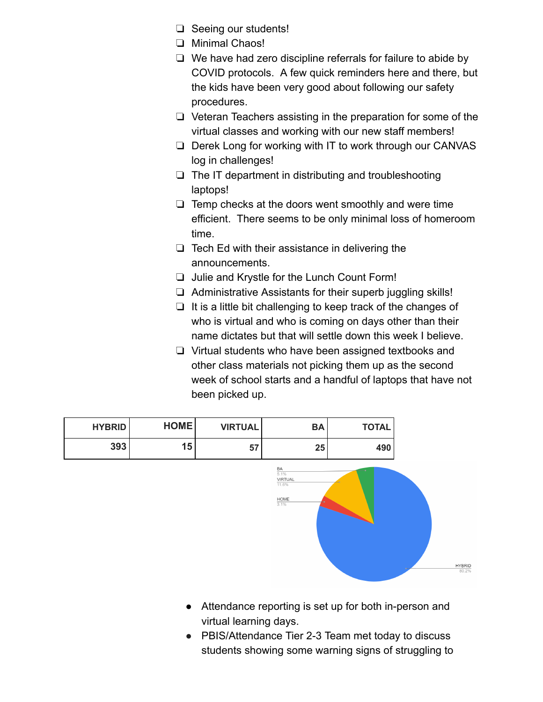- ❏ Seeing our students!
- ❏ Minimal Chaos!
- ❏ We have had zero discipline referrals for failure to abide by COVID protocols. A few quick reminders here and there, but the kids have been very good about following our safety procedures.
- ❏ Veteran Teachers assisting in the preparation for some of the virtual classes and working with our new staff members!
- ❏ Derek Long for working with IT to work through our CANVAS log in challenges!
- ❏ The IT department in distributing and troubleshooting laptops!
- ❏ Temp checks at the doors went smoothly and were time efficient. There seems to be only minimal loss of homeroom time.
- ❏ Tech Ed with their assistance in delivering the announcements.
- ❏ Julie and Krystle for the Lunch Count Form!
- ❏ Administrative Assistants for their superb juggling skills!
- ❏ It is a little bit challenging to keep track of the changes of who is virtual and who is coming on days other than their name dictates but that will settle down this week I believe.
- ❏ Virtual students who have been assigned textbooks and other class materials not picking them up as the second week of school starts and a handful of laptops that have not been picked up.



- Attendance reporting is set up for both in-person and virtual learning days.
- PBIS/Attendance Tier 2-3 Team met today to discuss students showing some warning signs of struggling to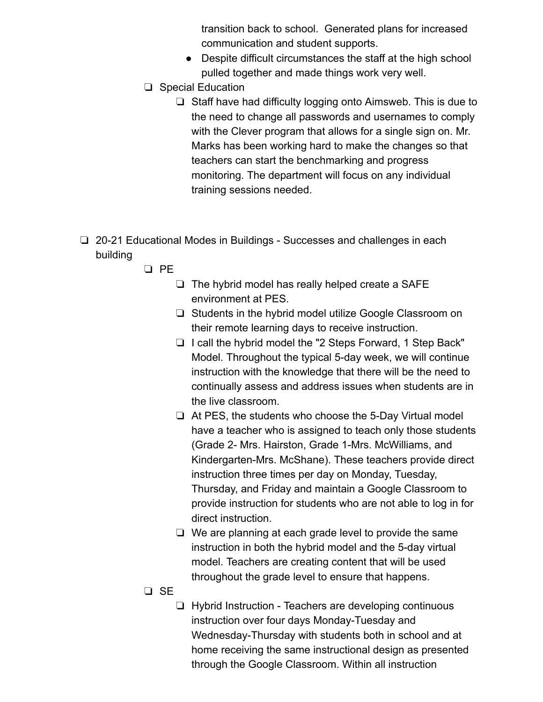transition back to school. Generated plans for increased communication and student supports.

- Despite difficult circumstances the staff at the high school pulled together and made things work very well.
- ❏ Special Education
	- ❏ Staff have had difficulty logging onto Aimsweb. This is due to the need to change all passwords and usernames to comply with the Clever program that allows for a single sign on. Mr. Marks has been working hard to make the changes so that teachers can start the benchmarking and progress monitoring. The department will focus on any individual training sessions needed.
- ❏ 20-21 Educational Modes in Buildings Successes and challenges in each building
	- ❏ PE
		- ❏ The hybrid model has really helped create a SAFE environment at PES.
		- ❏ Students in the hybrid model utilize Google Classroom on their remote learning days to receive instruction.
		- ❏ I call the hybrid model the "2 Steps Forward, 1 Step Back" Model. Throughout the typical 5-day week, we will continue instruction with the knowledge that there will be the need to continually assess and address issues when students are in the live classroom.
		- ❏ At PES, the students who choose the 5-Day Virtual model have a teacher who is assigned to teach only those students (Grade 2- Mrs. Hairston, Grade 1-Mrs. McWilliams, and Kindergarten-Mrs. McShane). These teachers provide direct instruction three times per day on Monday, Tuesday, Thursday, and Friday and maintain a Google Classroom to provide instruction for students who are not able to log in for direct instruction.
		- ❏ We are planning at each grade level to provide the same instruction in both the hybrid model and the 5-day virtual model. Teachers are creating content that will be used throughout the grade level to ensure that happens.
	- ❏ SE
		- ❏ Hybrid Instruction Teachers are developing continuous instruction over four days Monday-Tuesday and Wednesday-Thursday with students both in school and at home receiving the same instructional design as presented through the Google Classroom. Within all instruction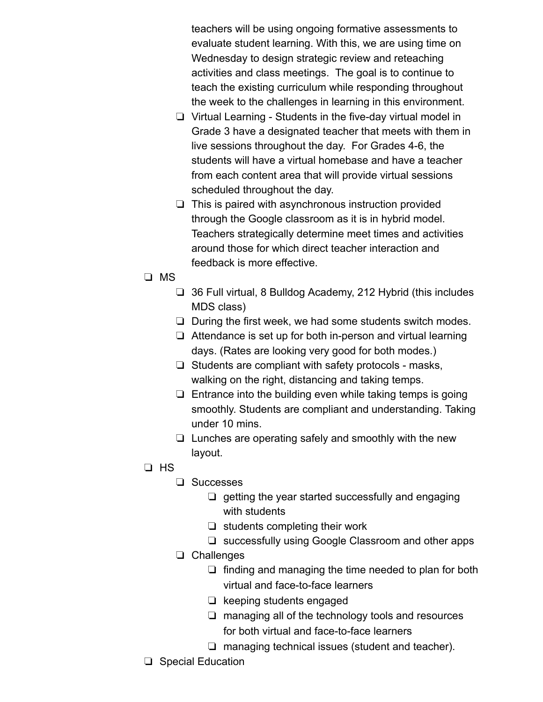teachers will be using ongoing formative assessments to evaluate student learning. With this, we are using time on Wednesday to design strategic review and reteaching activities and class meetings. The goal is to continue to teach the existing curriculum while responding throughout the week to the challenges in learning in this environment.

- ❏ Virtual Learning Students in the five-day virtual model in Grade 3 have a designated teacher that meets with them in live sessions throughout the day. For Grades 4-6, the students will have a virtual homebase and have a teacher from each content area that will provide virtual sessions scheduled throughout the day.
- ❏ This is paired with asynchronous instruction provided through the Google classroom as it is in hybrid model. Teachers strategically determine meet times and activities around those for which direct teacher interaction and feedback is more effective.
- ❏ MS
	- ❏ 36 Full virtual, 8 Bulldog Academy, 212 Hybrid (this includes MDS class)
	- ❏ During the first week, we had some students switch modes.
	- ❏ Attendance is set up for both in-person and virtual learning days. (Rates are looking very good for both modes.)
	- ❏ Students are compliant with safety protocols masks, walking on the right, distancing and taking temps.
	- ❏ Entrance into the building even while taking temps is going smoothly. Students are compliant and understanding. Taking under 10 mins.
	- ❏ Lunches are operating safely and smoothly with the new layout.
- ❏ HS
	- ❏ Successes
		- ❏ getting the year started successfully and engaging with students
		- ❏ students completing their work
		- ❏ successfully using Google Classroom and other apps
	- ❏ Challenges
		- ❏ finding and managing the time needed to plan for both virtual and face-to-face learners
		- ❏ keeping students engaged
		- ❏ managing all of the technology tools and resources for both virtual and face-to-face learners
		- ❏ managing technical issues (student and teacher).
- ❏ Special Education